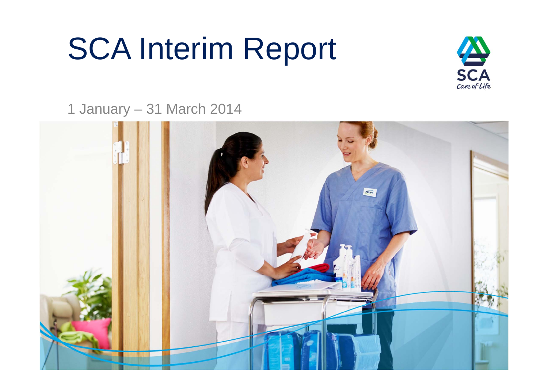# SCA Interim Report



1 January – 31 March 2014

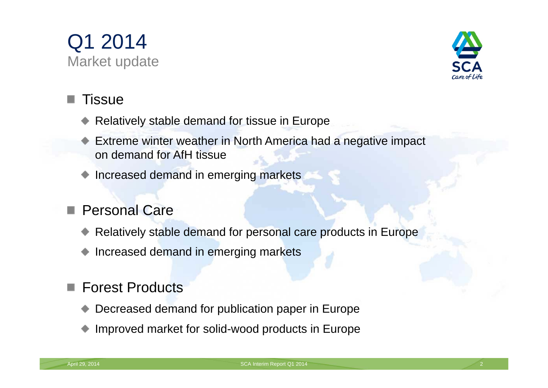



### Tissue

- Relatively stable demand for tissue in Europe
- Extreme winter weather in North America had a negative impact on demand for AfH tissue
- Increased demand in emerging markets

#### Personal Care**I**

- Relatively stable demand for personal care products in Europe
- Increased demand in emerging markets

### Forest Products

- Decreased demand for publication paper in Europe
- Improved market for solid-wood products in Europe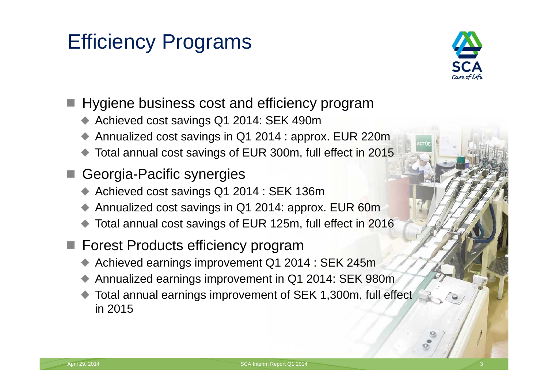# Efficiency Programs



- Hygiene business cost and efficiency program
	- Achieved cost savings Q1 2014: SEK 490m
	- Annualized cost savings in Q1 2014 : approx. EUR 220m
	- Total annual cost savings of EUR 300m, full effect in 2015
- Georgia-Pacific synergies
	- Achieved cost savings Q1 2014 : SEK 136m
	- Annualized cost savings in Q1 2014: approx. EUR 60m
	- Total annual cost savings of EUR 125m, full effect in 2016
- Forest Products efficiency program
	- Achieved earnings improvement Q1 2014 : SEK 245m
	- Annualized earnings improvement in Q1 2014: SEK 980m
	- Total annual earnings improvement of SEK 1,300m, full effect in 2015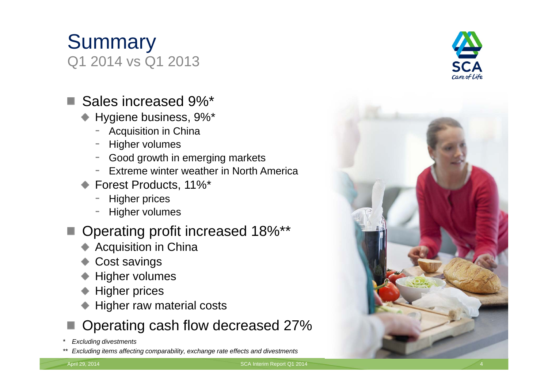April 29, 2014 **SCA Interim Report Q1 2014** 5 April 29, 2014

# **Summary** Q1 2014 vs Q1 2013

## ■ Sales increased 9%<sup>\*</sup>

- Hygiene business, 9%\*
	- Acquisition in China
	- Higher volumes
	- Good growth in emerging markets
	- Extreme winter weather in North America
- Forest Products, 11%\*
	- Higher prices
	- Higher volumes

## ■ Operating profit increased 18%\*\*

- ◆ Acquisition in China
- **← Cost savings**
- ◆ Higher volumes
- Higher prices
- Higher raw material costs

## Operating cash flow decreased 27%

- *\* Excluding divestments*
- *\*\* Excluding items affecting comparability, exchange rate effects and divestments*



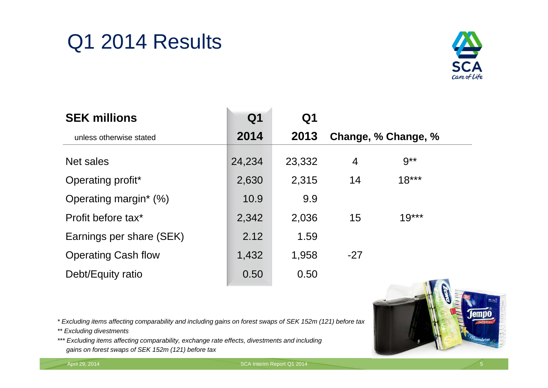# Q1 2014 Results



| <b>SEK millions</b>        | Q <sub>1</sub> | Q1     |                     |          |  |
|----------------------------|----------------|--------|---------------------|----------|--|
| unless otherwise stated    | 2014           | 2013   | Change, % Change, % |          |  |
| Net sales                  | 24,234         | 23,332 | 4                   | $9^{**}$ |  |
| Operating profit*          | 2,630          | 2,315  | 14                  | $18***$  |  |
| Operating margin* (%)      | 10.9           | 9.9    |                     |          |  |
| Profit before tax*         | 2,342          | 2,036  | 15                  | $19***$  |  |
| Earnings per share (SEK)   | 2.12           | 1.59   |                     |          |  |
| <b>Operating Cash flow</b> | 1,432          | 1,958  | $-27$               |          |  |
| Debt/Equity ratio          | 0.50           | 0.50   |                     |          |  |

*\* Excluding items affecting comparability and including gains on forest swaps of SEK 152m (121) before tax*

*\*\* Excluding divestments* 

*\*\*\* Excluding items affecting comparability, exchange rate effects, divestments and including gains on forest swaps of SEK 152m (121) before tax*



April 29, 2014 SCA Interim Report Q1 2014 5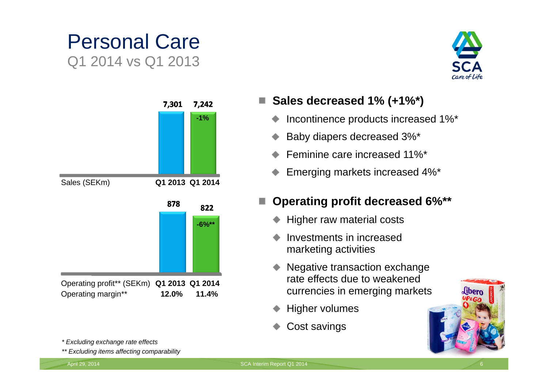# Personal Care Q1 2014 vs Q1 2013





*\* Excluding exchange rate effects*

*\*\* Excluding items affecting comparability*

#### **Sales decreased 1% (+1%\*)**

- Incontinence products increased 1%\*
- Baby diapers decreased 3%\*
- Feminine care increased 11%\*
- Emerging markets increased 4%\*

#### **Operating profit decreased 6%\*\***

- Higher raw material costs
- Investments in increasedmarketing activities
- Negative transaction exchange rate effects due to weakenedcurrencies in emerging markets
- Higher volumes
- Cost savings

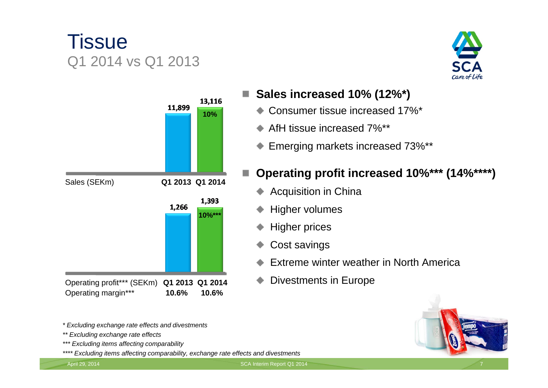# **Tissue** Q1 2014 vs Q1 2013



*\* Excluding exchange rate effects and divestments*

- *\*\* Excluding exchange rate effects*
- *\*\*\* Excluding items affecting comparability*
- *\*\*\*\* Excluding items affecting comparability, exchange rate effects and divestments*



- **Sales increased 10% (12%\*)**
	- Consumer tissue increased 17%\*
	- AfH tissue increased 7%\*\* $\bullet$
	- Emerging markets increased 73%\*\* ۰

#### **Operating profit increased 10%\*\*\* (14%\*\*\*\*)**

- Acquisition in China
- Higher volumes
- Higher prices
- Cost savings
- Extreme winter weather in North America
- Divestments in Europe



April 29, 2014 **SCA Interim Report Q1 2014**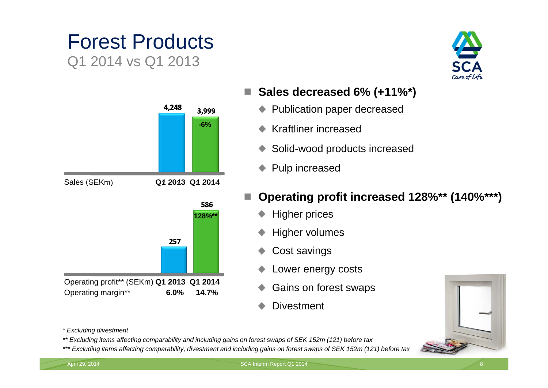# Forest ProductsQ1 2014 vs Q1 2013



- **Sales decreased 6% (+11%\*)**  H.
	- Publication paper decreased ٠
	- Kraftliner increased٠
	- Solid-wood products increased ◆
	- Pulp increased
- **Operating profit increased 128%\*\* (140%\*\*\*)**
	- Higher prices
	- Higher volumes
	- Cost savings
	- Lower energy costs
	- Gains on forest swaps
	- **Divestment**



*\* Excluding divestment*

- *\*\* Excluding items affecting comparability and including gains on forest swaps of SEK 152m (121) before tax*
- *\*\*\* Excluding items affecting comparability, divestment and including gains on forest swaps of SEK 152m (121) before tax*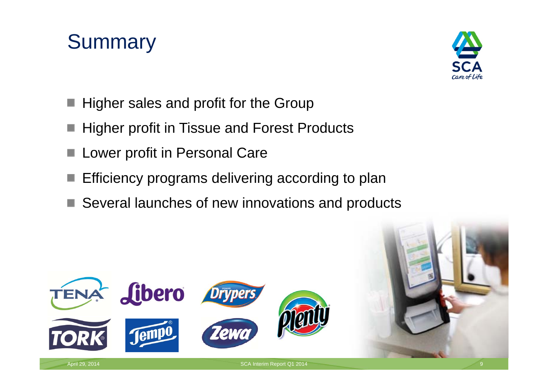# **Summary**



- Higher sales and profit for the Group
- Higher profit in Tissue and Forest Products
- Lower profit in Personal Care
- Efficiency programs delivering according to plan
- Several launches of new innovations and products

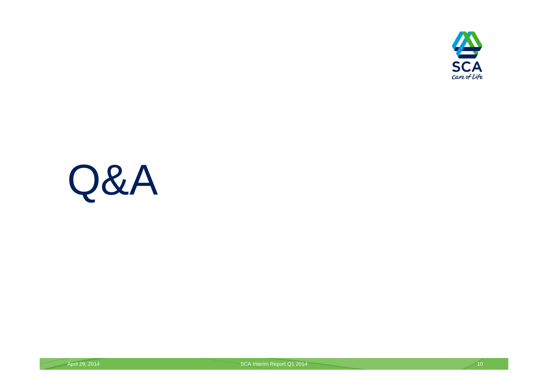

# Q&A